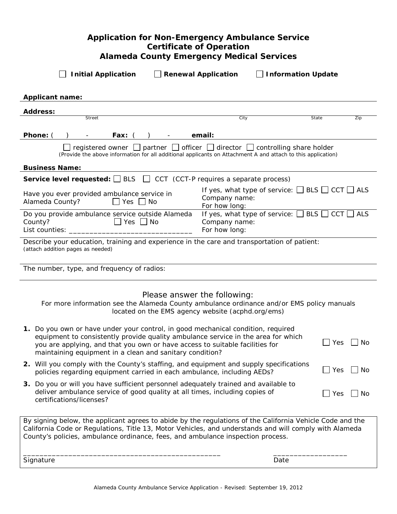# **Application for Non-Emergency Ambulance Service Certificate of Operation Alameda County Emergency Medical Services**

| <b>Initial Application</b><br><b>Information Update</b><br><b>Renewal Application</b>                                                                                                                                                                                                                                                    |     |  |  |  |  |
|------------------------------------------------------------------------------------------------------------------------------------------------------------------------------------------------------------------------------------------------------------------------------------------------------------------------------------------|-----|--|--|--|--|
| <b>Applicant name:</b>                                                                                                                                                                                                                                                                                                                   |     |  |  |  |  |
| <b>Address:</b>                                                                                                                                                                                                                                                                                                                          |     |  |  |  |  |
| <b>Street</b><br>City<br>State                                                                                                                                                                                                                                                                                                           | Zip |  |  |  |  |
| Phone: (<br><b>Fax:</b><br>email:                                                                                                                                                                                                                                                                                                        |     |  |  |  |  |
| $\Box$ registered owner $\Box$ partner $\Box$ officer $\Box$ director $\Box$ controlling share holder<br>(Provide the above information for all additional applicants on Attachment A and attach to this application)                                                                                                                    |     |  |  |  |  |
| <b>Business Name:</b>                                                                                                                                                                                                                                                                                                                    |     |  |  |  |  |
| <b>Service level requested:</b> $\Box$ BLS $\Box$ CCT (CCT-P requires a separate process)                                                                                                                                                                                                                                                |     |  |  |  |  |
| If yes, what type of service: $\Box$ BLS $\Box$ CCT $\Box$ ALS<br>Have you ever provided ambulance service in<br>Company name:<br>Alameda County?<br>$\Box$ Yes $\Box$ No<br>For how long:                                                                                                                                               |     |  |  |  |  |
| If yes, what type of service: $\Box$ BLS $\Box$<br>$CCT$ ALS<br>Do you provide ambulance service outside Alameda<br>County?<br>∐ Yes ∐ No<br>Company name:<br>List counties:<br>For how long:                                                                                                                                            |     |  |  |  |  |
| Describe your education, training and experience in the care and transportation of patient:<br>(attach addition pages as needed)                                                                                                                                                                                                         |     |  |  |  |  |
| The number, type, and frequency of radios:                                                                                                                                                                                                                                                                                               |     |  |  |  |  |
| Please answer the following:<br>For more information see the Alameda County ambulance ordinance and/or EMS policy manuals<br>located on the EMS agency website (acphd.org/ems)                                                                                                                                                           |     |  |  |  |  |
| 1. Do you own or have under your control, in good mechanical condition, required<br>equipment to consistently provide quality ambulance service in the area for which<br>$\exists$ Yes<br>No<br>you are applying, and that you own or have access to suitable facilities for<br>maintaining equipment in a clean and sanitary condition? |     |  |  |  |  |
| 2. Will you comply with the County's staffing, and equipment and supply specifications<br>$\mathsf{\rfloor}$ Yes<br>No<br>policies regarding equipment carried in each ambulance, including AEDs?                                                                                                                                        |     |  |  |  |  |
| 3. Do you or will you have sufficient personnel adequately trained and available to<br>deliver ambulance service of good quality at all times, including copies of<br>$\Box$ Yes<br>No<br>certifications/licenses?                                                                                                                       |     |  |  |  |  |
| By signing below, the applicant agrees to abide by the regulations of the California Vehicle Code and the<br>California Code or Regulations, Title 13, Motor Vehicles, and understands and will comply with Alameda<br>County's policies, ambulance ordinance, fees, and ambulance inspection process.                                   |     |  |  |  |  |
| Signature<br>Date                                                                                                                                                                                                                                                                                                                        |     |  |  |  |  |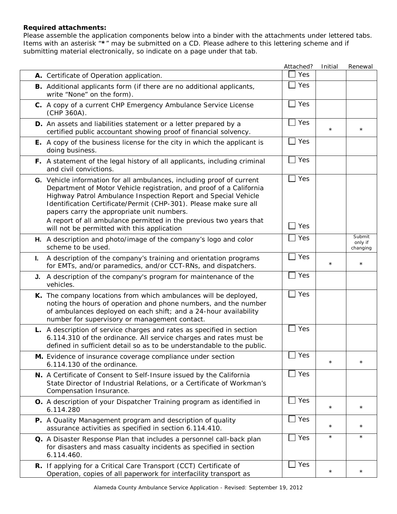### **Required attachments:**

Please assemble the application components below into a binder with the attachments under lettered tabs. Items with an asterisk "**\***" may be submitted on a CD. Please adhere to this lettering scheme and if submitting material electronically, so indicate on a page under that tab.

|                                                                                                                                                                                                                                                                                                                                                                                                         | Attached?  | Initial    | Renewal             |
|---------------------------------------------------------------------------------------------------------------------------------------------------------------------------------------------------------------------------------------------------------------------------------------------------------------------------------------------------------------------------------------------------------|------------|------------|---------------------|
| A. Certificate of Operation application.                                                                                                                                                                                                                                                                                                                                                                | Yes        |            |                     |
| <b>B.</b> Additional applicants form (if there are no additional applicants,<br>write "None" on the form).                                                                                                                                                                                                                                                                                              | Yes        |            |                     |
| C. A copy of a current CHP Emergency Ambulance Service License<br>(CHP 360A).                                                                                                                                                                                                                                                                                                                           | Yes        |            |                     |
| D. An assets and liabilities statement or a letter prepared by a<br>certified public accountant showing proof of financial solvency.                                                                                                                                                                                                                                                                    | Yes        | $^\star$   | $^\star$            |
| E. A copy of the business license for the city in which the applicant is<br>doing business.                                                                                                                                                                                                                                                                                                             | Yes        |            |                     |
| F. A statement of the legal history of all applicants, including criminal<br>and civil convictions.                                                                                                                                                                                                                                                                                                     | Yes        |            |                     |
| G. Vehicle information for all ambulances, including proof of current<br>Department of Motor Vehicle registration, and proof of a California<br>Highway Patrol Ambulance Inspection Report and Special Vehicle<br>Identification Certificate/Permit (CHP-301). Please make sure all<br>papers carry the appropriate unit numbers.<br>A report of all ambulance permitted in the previous two years that | Yes<br>Yes |            |                     |
| will not be permitted with this application                                                                                                                                                                                                                                                                                                                                                             |            |            | Submit              |
| H. A description and photo/image of the company's logo and color<br>scheme to be used.                                                                                                                                                                                                                                                                                                                  | Yes        |            | only if<br>changing |
| A description of the company's training and orientation programs<br>L.<br>for EMTs, and/or paramedics, and/or CCT-RNs, and dispatchers.                                                                                                                                                                                                                                                                 | Yes        | $^\star$   | $^\star$            |
| A description of the company's program for maintenance of the<br>J.<br>vehicles.                                                                                                                                                                                                                                                                                                                        | Yes        |            |                     |
| K. The company locations from which ambulances will be deployed,<br>noting the hours of operation and phone numbers, and the number<br>of ambulances deployed on each shift; and a 24-hour availability<br>number for supervisory or management contact.                                                                                                                                                | Yes        |            |                     |
| L. A description of service charges and rates as specified in section<br>6.114.310 of the ordinance. All service charges and rates must be<br>defined in sufficient detail so as to be understandable to the public.                                                                                                                                                                                    | Yes        |            |                     |
| <b>M.</b> Evidence of insurance coverage compliance under section<br>6.114.130 of the ordinance.                                                                                                                                                                                                                                                                                                        | $\Box$ Yes | $\star$    | $\star$             |
| N. A Certificate of Consent to Self-Insure issued by the California<br>State Director of Industrial Relations, or a Certificate of Workman's<br>Compensation Insurance.                                                                                                                                                                                                                                 | Yes        |            |                     |
| O. A description of your Dispatcher Training program as identified in<br>6.114.280                                                                                                                                                                                                                                                                                                                      | Yes        | $\star$    | $\star$             |
| P. A Quality Management program and description of quality<br>assurance activities as specified in section 6.114.410.                                                                                                                                                                                                                                                                                   | Yes        | $^\star$   | $^\star$            |
| Q. A Disaster Response Plan that includes a personnel call-back plan<br>for disasters and mass casualty incidents as specified in section<br>6.114.460.                                                                                                                                                                                                                                                 | $\Box$ Yes | $\star$    | $\star$             |
| R. If applying for a Critical Care Transport (CCT) Certificate of<br>Operation, copies of all paperwork for interfacility transport as                                                                                                                                                                                                                                                                  | Yes        | $^{\star}$ | $\star$             |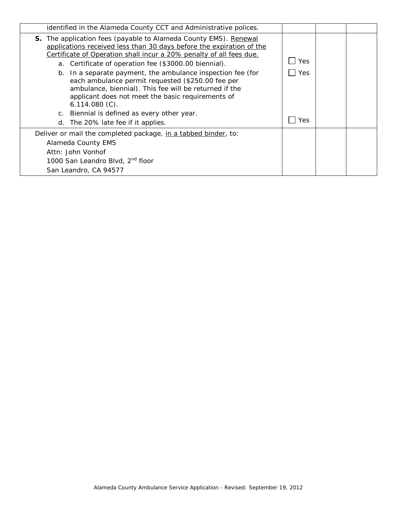| identified in the Alameda County CCT and Administrative polices.                                                                                                                                                                                                                                                                        |            |  |
|-----------------------------------------------------------------------------------------------------------------------------------------------------------------------------------------------------------------------------------------------------------------------------------------------------------------------------------------|------------|--|
| S. The application fees (payable to Alameda County EMS). Renewal<br>applications received less than 30 days before the expiration of the<br>Certificate of Operation shall incur a 20% penalty of all fees due.<br>a. Certificate of operation fee (\$3000.00 biennial).<br>b. In a separate payment, the ambulance inspection fee (for | Yes<br>Yes |  |
| each ambulance permit requested (\$250.00 fee per<br>ambulance, biennial). This fee will be returned if the<br>applicant does not meet the basic requirements of<br>$6.114.080(C)$ .                                                                                                                                                    |            |  |
| c. Biennial is defined as every other year.                                                                                                                                                                                                                                                                                             |            |  |
| d. The 20% late fee if it applies.                                                                                                                                                                                                                                                                                                      | Yes        |  |
| Deliver or mail the completed package, in a tabbed binder, to:                                                                                                                                                                                                                                                                          |            |  |
| Alameda County EMS                                                                                                                                                                                                                                                                                                                      |            |  |
| Attn: John Vonhof                                                                                                                                                                                                                                                                                                                       |            |  |
| 1000 San Leandro Blvd, 2 <sup>nd</sup> floor                                                                                                                                                                                                                                                                                            |            |  |
| San Leandro, CA 94577                                                                                                                                                                                                                                                                                                                   |            |  |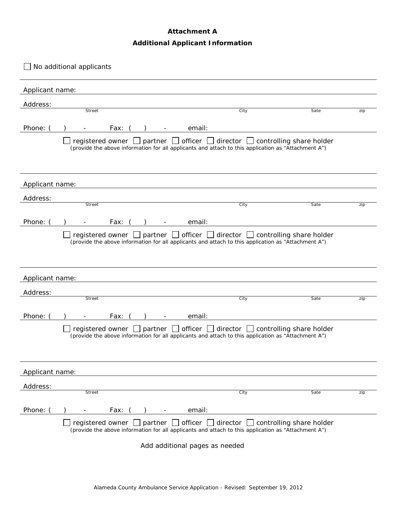## **Attachment A**

## **Additional Applicant Information**

|                 | No additional applicants                                              |                                                                                                                                                                                                       |                          |
|-----------------|-----------------------------------------------------------------------|-------------------------------------------------------------------------------------------------------------------------------------------------------------------------------------------------------|--------------------------|
| Applicant name: |                                                                       |                                                                                                                                                                                                       |                          |
| Address:        |                                                                       |                                                                                                                                                                                                       |                          |
|                 | Street                                                                | City                                                                                                                                                                                                  | Sate<br>zip              |
| Phone:          | Fax:                                                                  | email:                                                                                                                                                                                                |                          |
|                 |                                                                       | registered owner $\Box$ partner $\Box$ officer $\Box$ director $\Box$ controlling share holder<br>(provide the above information for all applicants and attach to this application as "Attachment A") |                          |
| Applicant name: |                                                                       |                                                                                                                                                                                                       |                          |
| Address:        |                                                                       |                                                                                                                                                                                                       |                          |
|                 | Street                                                                | City                                                                                                                                                                                                  | Sate<br>zip              |
| Phone:          | Fax:                                                                  | email:                                                                                                                                                                                                |                          |
|                 | registered owner $\Box$ partner $\Box$ officer $\Box$ director $\Box$ | (provide the above information for all applicants and attach to this application as "Attachment A")                                                                                                   | controlling share holder |
| Applicant name: |                                                                       |                                                                                                                                                                                                       |                          |
| Address:        |                                                                       |                                                                                                                                                                                                       |                          |
|                 | <b>Street</b>                                                         | City                                                                                                                                                                                                  | Sate<br>zip              |
| Phone: (        | Fax:                                                                  | email:                                                                                                                                                                                                |                          |
|                 |                                                                       | registered owner $\Box$ partner $\Box$ officer $\Box$ director $\Box$ controlling share holder<br>(provide the above information for all applicants and attach to this application as "Attachment A") |                          |
| Applicant name: |                                                                       |                                                                                                                                                                                                       |                          |
| Address:        |                                                                       |                                                                                                                                                                                                       |                          |
|                 | Street                                                                | City                                                                                                                                                                                                  | Sate<br>zip              |
| Phone:          | Fax:                                                                  | email:                                                                                                                                                                                                |                          |
|                 |                                                                       | registered owner $\Box$ partner $\Box$ officer $\Box$ director $\Box$ controlling share holder<br>(provide the above information for all applicants and attach to this application as "Attachment A") |                          |
|                 |                                                                       | Add additional pages as needed                                                                                                                                                                        |                          |